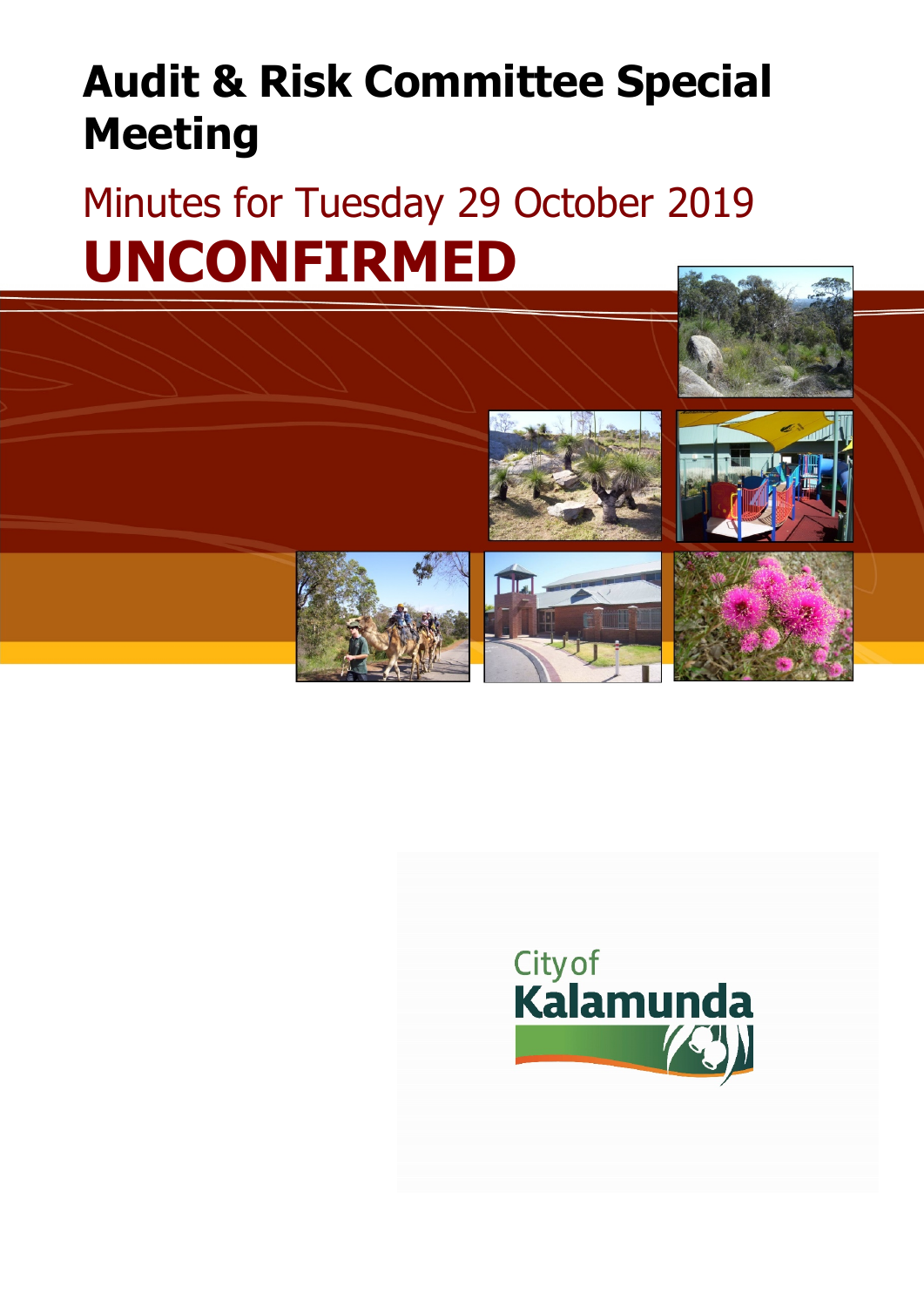# **Audit & Risk Committee Special Meeting**

# Minutes for Tuesday 29 October 2019 **UNCONFIRMED**



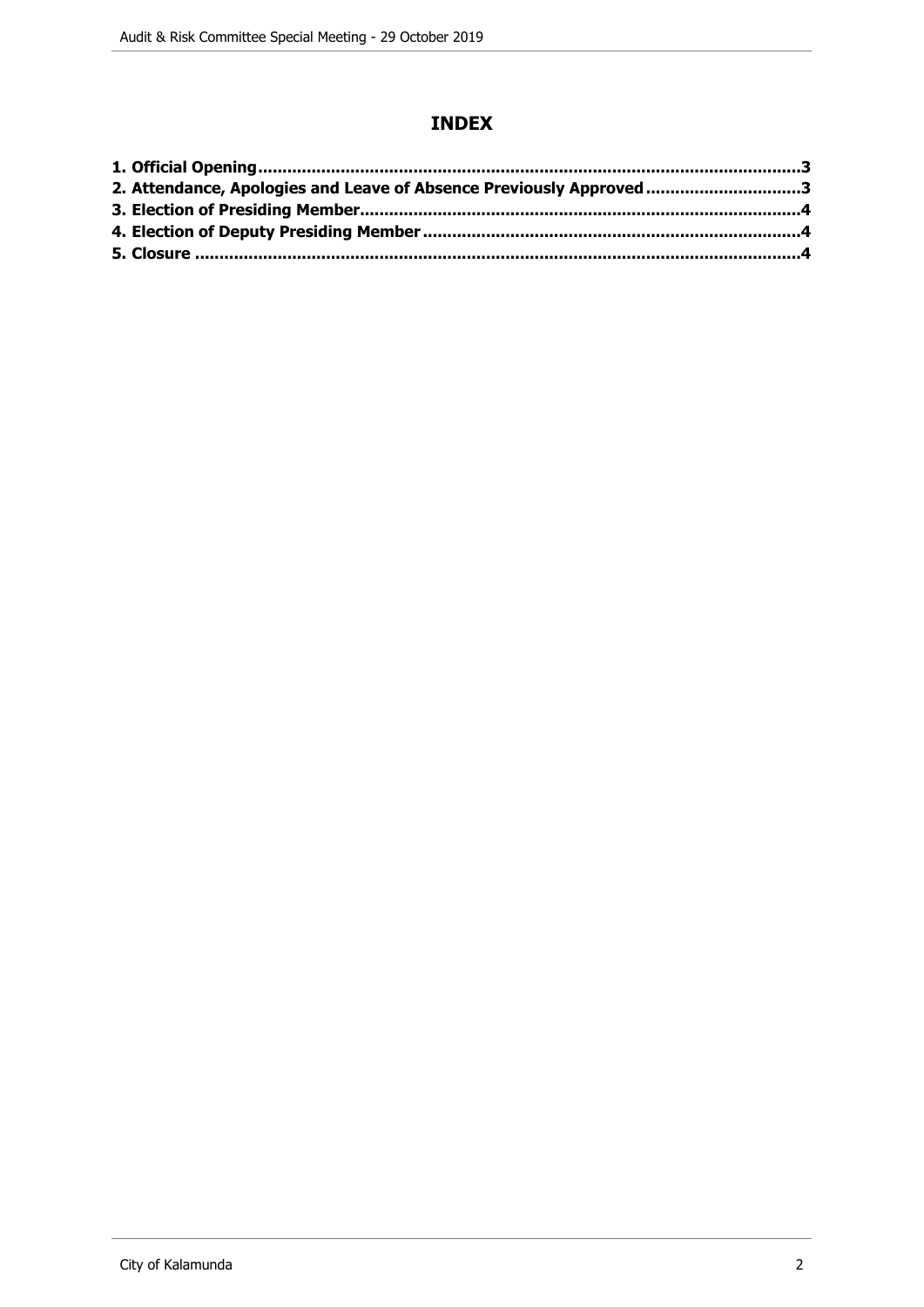## **INDEX**

| 2. Attendance, Apologies and Leave of Absence Previously Approved 3 |  |
|---------------------------------------------------------------------|--|
|                                                                     |  |
|                                                                     |  |
|                                                                     |  |
|                                                                     |  |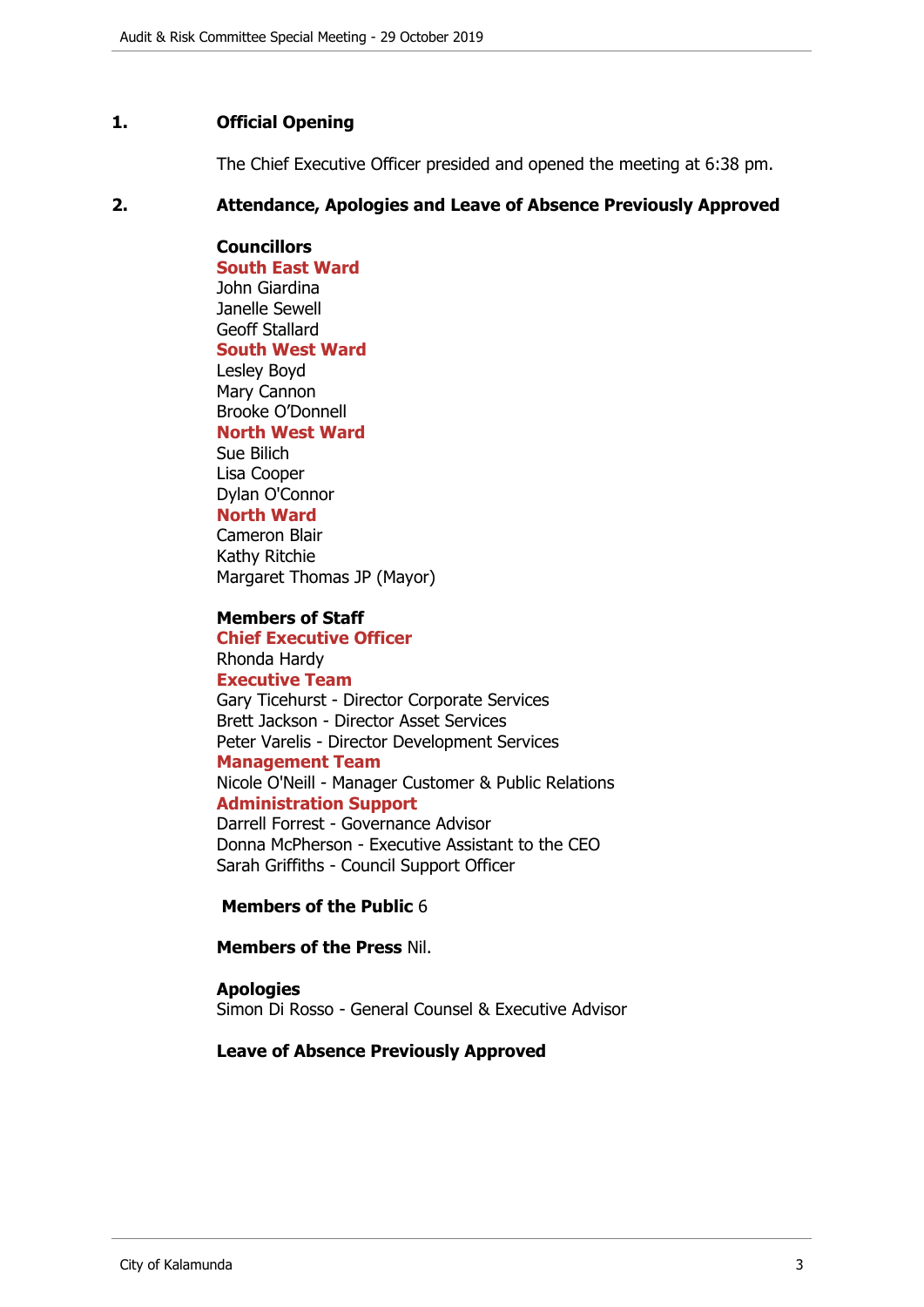#### <span id="page-2-0"></span>**1. Official Opening**

The Chief Executive Officer presided and opened the meeting at 6:38 pm.

#### <span id="page-2-1"></span>**2. Attendance, Apologies and Leave of Absence Previously Approved**

**Councillors South East Ward**  John Giardina Janelle Sewell Geoff Stallard **South West Ward** Lesley Boyd Mary Cannon Brooke O'Donnell **North West Ward** Sue Bilich Lisa Cooper Dylan O'Connor **North Ward**

Cameron Blair Kathy Ritchie Margaret Thomas JP (Mayor)

#### **Members of Staff**

**Chief Executive Officer** Rhonda Hardy **Executive Team** Gary Ticehurst - Director Corporate Services Brett Jackson - Director Asset Services Peter Varelis - Director Development Services **Management Team** Nicole O'Neill - Manager Customer & Public Relations **Administration Support** Darrell Forrest - Governance Advisor

Donna McPherson - Executive Assistant to the CEO Sarah Griffiths - Council Support Officer

#### **Members of the Public** 6

**Members of the Press** Nil.

## **Apologies**

Simon Di Rosso - General Counsel & Executive Advisor

#### **Leave of Absence Previously Approved**